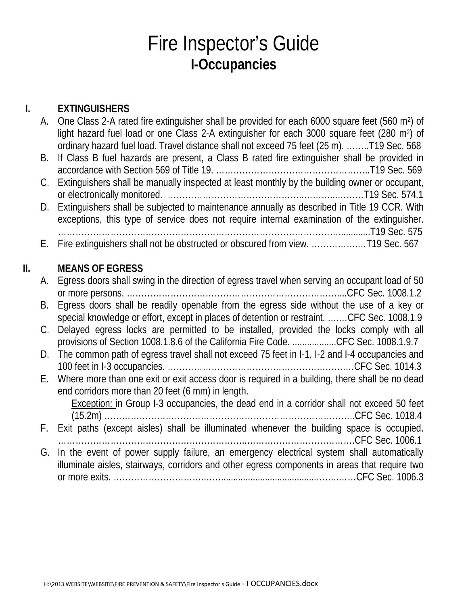## Fire Inspector's Guide **I-Occupancies**

#### **I. EXTINGUISHERS**

|     | А. | One Class 2-A rated fire extinguisher shall be provided for each 6000 square feet (560 m <sup>2</sup> ) of<br>light hazard fuel load or one Class 2-A extinguisher for each 3000 square feet (280 m <sup>2</sup> ) of<br>ordinary hazard fuel load. Travel distance shall not exceed 75 feet (25 m). T19 Sec. 568 |
|-----|----|-------------------------------------------------------------------------------------------------------------------------------------------------------------------------------------------------------------------------------------------------------------------------------------------------------------------|
|     | В. | If Class B fuel hazards are present, a Class B rated fire extinguisher shall be provided in                                                                                                                                                                                                                       |
|     | C. | Extinguishers shall be manually inspected at least monthly by the building owner or occupant,                                                                                                                                                                                                                     |
|     | D. | Extinguishers shall be subjected to maintenance annually as described in Title 19 CCR. With<br>exceptions, this type of service does not require internal examination of the extinguisher.                                                                                                                        |
|     | Е. |                                                                                                                                                                                                                                                                                                                   |
| II. |    | <b>MEANS OF EGRESS</b>                                                                                                                                                                                                                                                                                            |
|     | А. | Egress doors shall swing in the direction of egress travel when serving an occupant load of 50                                                                                                                                                                                                                    |
|     | B. | Egress doors shall be readily openable from the egress side without the use of a key or<br>special knowledge or effort, except in places of detention or restraint. CFC Sec. 1008.1.9                                                                                                                             |
|     | C. | Delayed egress locks are permitted to be installed, provided the locks comply with all<br>provisions of Section 1008.1.8.6 of the California Fire Code. CFC Sec. 1008.1.9.7                                                                                                                                       |
|     | D. | The common path of egress travel shall not exceed 75 feet in I-1, I-2 and I-4 occupancies and                                                                                                                                                                                                                     |
|     | Е. | Where more than one exit or exit access door is required in a building, there shall be no dead<br>end corridors more than 20 feet (6 mm) in length.                                                                                                                                                               |
|     |    | Exception: in Group I-3 occupancies, the dead end in a corridor shall not exceed 50 feet                                                                                                                                                                                                                          |
|     | F. | Exit paths (except aisles) shall be illuminated whenever the building space is occupied.                                                                                                                                                                                                                          |
|     | G. | In the event of power supply failure, an emergency electrical system shall automatically<br>illuminate aisles, stairways, corridors and other egress components in areas that require two                                                                                                                         |
|     |    |                                                                                                                                                                                                                                                                                                                   |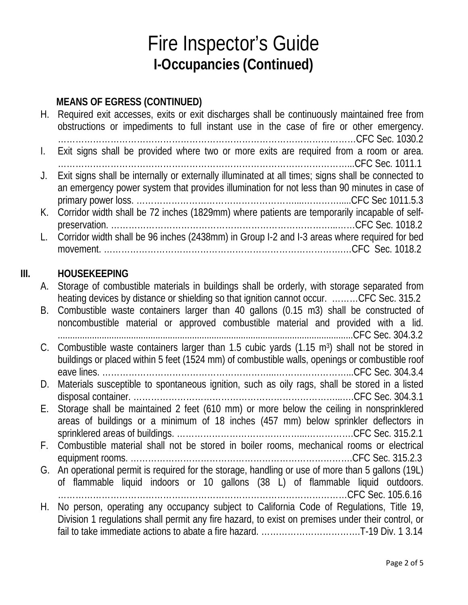#### **MEANS OF EGRESS (CONTINUED)**

|      | H. | Required exit accesses, exits or exit discharges shall be continuously maintained free from        |
|------|----|----------------------------------------------------------------------------------------------------|
|      |    | obstructions or impediments to full instant use in the case of fire or other emergency.            |
|      |    |                                                                                                    |
|      |    | Exit signs shall be provided where two or more exits are required from a room or area.             |
|      |    |                                                                                                    |
|      | J. | Exit signs shall be internally or externally illuminated at all times; signs shall be connected to |
|      |    | an emergency power system that provides illumination for not less than 90 minutes in case of       |
|      |    |                                                                                                    |
|      |    | K. Corridor width shall be 72 inches (1829mm) where patients are temporarily incapable of self-    |
|      |    |                                                                                                    |
|      | L. | Corridor width shall be 96 inches (2438mm) in Group I-2 and I-3 areas where required for bed       |
|      |    |                                                                                                    |
|      |    |                                                                                                    |
| III. |    | <b>HOUSEKEEPING</b>                                                                                |
|      | А. | Storage of combustible materials in buildings shall be orderly, with storage separated from        |

heating devices by distance or shielding so that ignition cannot occur. ………CFC Sec. 315.2 B. Combustible waste containers larger than 40 gallons (0.15 m3) shall be constructed of noncombustible material or approved combustible material and provided with a lid. .........................................................................................................................CFC Sec. 304.3.2 C. Combustible waste containers larger than 1.5 cubic yards (1.15 m3) shall not be stored in buildings or placed within 5 feet (1524 mm) of combustible walls, openings or combustible roof eave lines. …………………………………………………...……………………...CFC Sec. 304.3.4 D. Materials susceptible to spontaneous ignition, such as oily rags, shall be stored in a listed disposal container. ……………………………………………………………...….CFC Sec. 304.3.1 E. Storage shall be maintained 2 feet (610 mm) or more below the ceiling in nonsprinklered areas of buildings or a minimum of 18 inches (457 mm) below sprinkler deflectors in sprinklered areas of buildings. ……………………………………...…………….CFC Sec. 315.2.1 F. Combustible material shall not be stored in boiler rooms, mechanical rooms or electrical equipment rooms. ………………………………………………………………….CFC Sec. 315.2.3 G. An operational permit is required for the storage, handling or use of more than 5 gallons (19L) of flammable liquid indoors or 10 gallons (38 L) of flammable liquid outdoors. ………………………………………………………………………………………CFC Sec. 105.6.16 H. No person, operating any occupancy subject to California Code of Regulations, Title 19, Division 1 regulations shall permit any fire hazard, to exist on premises under their control, or fail to take immediate actions to abate a fire hazard. …………………………….T-19 Div. 1 3.14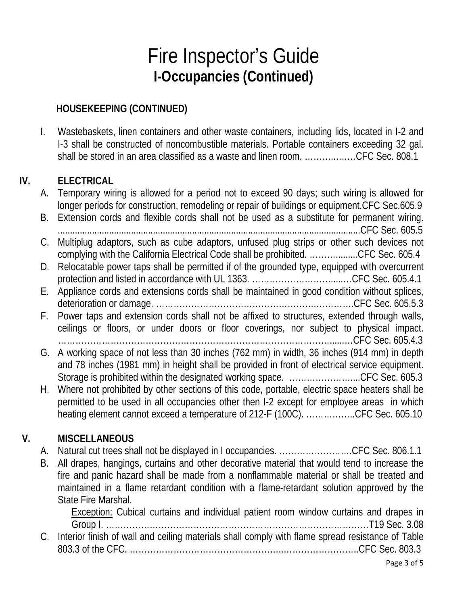#### **HOUSEKEEPING (CONTINUED)**

I. Wastebaskets, linen containers and other waste containers, including lids, located in I-2 and I-3 shall be constructed of noncombustible materials. Portable containers exceeding 32 gal. shall be stored in an area classified as a waste and linen room. ………..….…CFC Sec. 808.1

#### **IV. ELECTRICAL**

A. Temporary wiring is allowed for a period not to exceed 90 days; such wiring is allowed for longer periods for construction, remodeling or repair of buildings or equipment.CFC Sec.605.9 B. Extension cords and flexible cords shall not be used as a substitute for permanent wiring. ............................................................................................................................CFC Sec. 605.5 C. Multiplug adaptors, such as cube adaptors, unfused plug strips or other such devices not complying with the California Electrical Code shall be prohibited. ……….........CFC Sec. 605.4 D. Relocatable power taps shall be permitted if of the grounded type, equipped with overcurrent protection and listed in accordance with UL 1363. ……………………….....…CFC Sec. 605.4.1 E. Appliance cords and extensions cords shall be maintained in good condition without splices, deterioration or damage. ……………………………………………….………….CFC Sec. 605.5.3 F. Power taps and extension cords shall not be affixed to structures, extended through walls, ceilings or floors, or under doors or floor coverings, nor subject to physical impact. …………………………………………………………………………………......…CFC Sec. 605.4.3 G. A working space of not less than 30 inches (762 mm) in width, 36 inches (914 mm) in depth and 78 inches (1981 mm) in height shall be provided in front of electrical service equipment. Storage is prohibited within the designated working space. ...........................CFC Sec. 605.3 H. Where not prohibited by other sections of this code, portable, electric space heaters shall be permitted to be used in all occupancies other then I-2 except for employee areas in which heating element cannot exceed a temperature of 212-F (100C). ……………..CFC Sec. 605.10

#### **V. MISCELLANEOUS**

- A. Natural cut trees shall not be displayed in I occupancies. …………………….CFC Sec. 806.1.1
- B. All drapes, hangings, curtains and other decorative material that would tend to increase the fire and panic hazard shall be made from a nonflammable material or shall be treated and maintained in a flame retardant condition with a flame-retardant solution approved by the State Fire Marshal.

Exception: Cubical curtains and individual patient room window curtains and drapes in Group I. ………………………………………………………………………………T19 Sec. 3.08 C. Interior finish of wall and ceiling materials shall comply with flame spread resistance of Table 803.3 of the CFC. ……………………………………………..……………………..CFC Sec. 803.3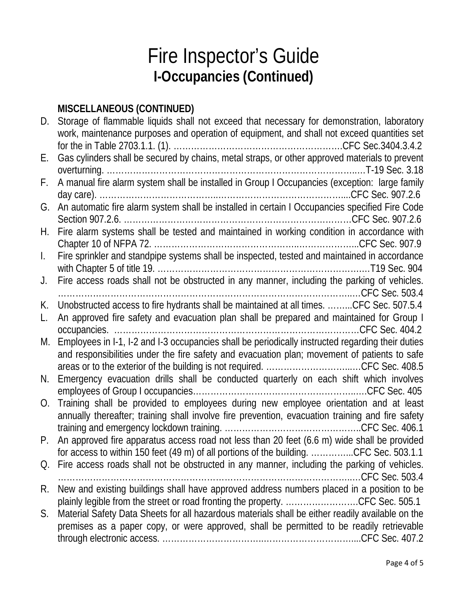### **MISCELLANEOUS (CONTINUED)**

| D. | Storage of flammable liquids shall not exceed that necessary for demonstration, laboratory<br>work, maintenance purposes and operation of equipment, and shall not exceed quantities set |
|----|------------------------------------------------------------------------------------------------------------------------------------------------------------------------------------------|
|    |                                                                                                                                                                                          |
| Е. | Gas cylinders shall be secured by chains, metal straps, or other approved materials to prevent                                                                                           |
|    |                                                                                                                                                                                          |
| F. | A manual fire alarm system shall be installed in Group I Occupancies (exception: large family                                                                                            |
|    |                                                                                                                                                                                          |
| G. |                                                                                                                                                                                          |
| Н. | Fire alarm systems shall be tested and maintained in working condition in accordance with                                                                                                |
|    |                                                                                                                                                                                          |
| I. | Fire sprinkler and standpipe systems shall be inspected, tested and maintained in accordance                                                                                             |
|    |                                                                                                                                                                                          |
| J. | Fire access roads shall not be obstructed in any manner, including the parking of vehicles.                                                                                              |
|    |                                                                                                                                                                                          |
| К. | Unobstructed access to fire hydrants shall be maintained at all times. CFC Sec. 507.5.4                                                                                                  |
| L. |                                                                                                                                                                                          |
|    |                                                                                                                                                                                          |
| M. | Employees in I-1, I-2 and I-3 occupancies shall be periodically instructed regarding their duties                                                                                        |
|    | and responsibilities under the fire safety and evacuation plan; movement of patients to safe                                                                                             |
|    | areas or to the exterior of the building is not required. CFC Sec. 408.5                                                                                                                 |
| N. | Emergency evacuation drills shall be conducted quarterly on each shift which involves                                                                                                    |
|    |                                                                                                                                                                                          |
| O. | Training shall be provided to employees during new employee orientation and at least                                                                                                     |
|    | annually thereafter; training shall involve fire prevention, evacuation training and fire safety                                                                                         |
|    |                                                                                                                                                                                          |
| Р. | An approved fire apparatus access road not less than 20 feet (6.6 m) wide shall be provided                                                                                              |
|    | for access to within 150 feet (49 m) of all portions of the building. CFC Sec. 503.1.1                                                                                                   |
|    | Q. Fire access roads shall not be obstructed in any manner, including the parking of vehicles.                                                                                           |
|    |                                                                                                                                                                                          |
| R. | New and existing buildings shall have approved address numbers placed in a position to be                                                                                                |
|    | plainly legible from the street or road fronting the property. CFC Sec. 505.1                                                                                                            |
| S. | Material Safety Data Sheets for all hazardous materials shall be either readily available on the                                                                                         |
|    | premises as a paper copy, or were approved, shall be permitted to be readily retrievable                                                                                                 |
|    |                                                                                                                                                                                          |